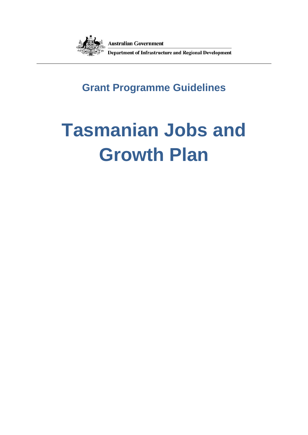

## **Grant Programme Guidelines**

# **Tasmanian Jobs and Growth Plan**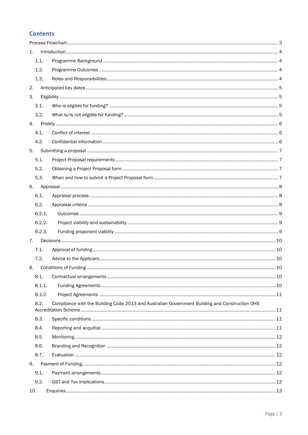## **Contents**

| 1.                                                                                                     |        |  |  |  |
|--------------------------------------------------------------------------------------------------------|--------|--|--|--|
|                                                                                                        | 1.1.   |  |  |  |
|                                                                                                        | 1.2.   |  |  |  |
|                                                                                                        | 1.3.   |  |  |  |
| 2.                                                                                                     |        |  |  |  |
| 3.                                                                                                     |        |  |  |  |
|                                                                                                        | 3.1.   |  |  |  |
|                                                                                                        | 3.2.   |  |  |  |
| 4.                                                                                                     |        |  |  |  |
|                                                                                                        | 4.1.   |  |  |  |
|                                                                                                        | 4.2.   |  |  |  |
| 5.                                                                                                     |        |  |  |  |
|                                                                                                        | 5.1.   |  |  |  |
|                                                                                                        | 5.2.   |  |  |  |
|                                                                                                        | 5.3.   |  |  |  |
| 6.                                                                                                     |        |  |  |  |
|                                                                                                        | 6.1.   |  |  |  |
|                                                                                                        | 6.2.   |  |  |  |
|                                                                                                        | 6.2.1. |  |  |  |
|                                                                                                        | 6.2.2. |  |  |  |
|                                                                                                        | 6.2.3. |  |  |  |
| 7.                                                                                                     |        |  |  |  |
|                                                                                                        | 7.1.   |  |  |  |
|                                                                                                        | 7.2.   |  |  |  |
| 8.                                                                                                     |        |  |  |  |
|                                                                                                        | 8.1.   |  |  |  |
|                                                                                                        | 8.1.1. |  |  |  |
|                                                                                                        | 8.1.2. |  |  |  |
| Compliance with the Building Code 2013 and Australian Government Building and Construction OHS<br>8.2. |        |  |  |  |
|                                                                                                        | 8.3.   |  |  |  |
|                                                                                                        | 8.4.   |  |  |  |
|                                                                                                        | 8.5.   |  |  |  |
|                                                                                                        | 8.6.   |  |  |  |
|                                                                                                        | 8.7.   |  |  |  |
| 9.                                                                                                     |        |  |  |  |
|                                                                                                        | 9.1.   |  |  |  |
|                                                                                                        | 9.2.   |  |  |  |
| 10.                                                                                                    |        |  |  |  |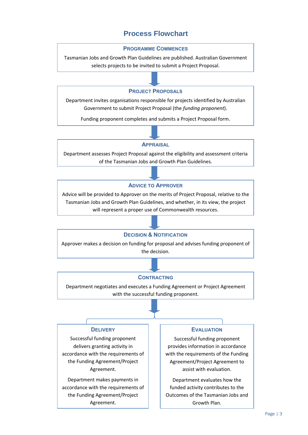## **Process Flowchart**

#### **PROGRAMME COMMENCES**

<span id="page-2-0"></span>Tasmanian Jobs and Growth Plan Guidelines are published. Australian Government selects projects to be invited to submit a Project Proposal.

#### **PROJECT PROPOSALS**

Department invites organisations responsible for projects identified by Australian Government to submit Project Proposal (the *funding proponent*).

Funding proponent completes and submits a Project Proposal form.

#### **APPRAISAL**

Department assesses Project Proposal against the eligibility and assessment criteria of the Tasmanian Jobs and Growth Plan Guidelines.

#### **ADVICE TO APPROVER**

Advice will be provided to Approver on the merits of Project Proposal, relative to the Tasmanian Jobs and Growth Plan Guidelines, and whether, in its view, the project will represent a proper use of Commonwealth resources.

#### **DECISION & NOTIFICATION**

Approver makes a decision on funding for proposal and advises funding proponent of the decision.

#### **CONTRACTING**

Department negotiates and executes a Funding Agreement or Project Agreement with the successful funding proponent.

#### **DELIVERY**

Successful funding proponent delivers granting activity in accordance with the requirements of the Funding Agreement/Project Agreement.

Department makes payments in accordance with the requirements of the Funding Agreement/Project Agreement.

#### **EVALUATION**

Successful funding proponent provides information in accordance with the requirements of the Funding Agreement/Project Agreement to assist with evaluation.

Department evaluates how the funded activity contributes to the Outcomes of the Tasmanian Jobs and Growth Plan.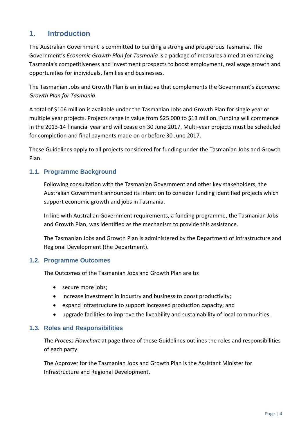## <span id="page-3-0"></span>**1. Introduction**

The Australian Government is committed to building a strong and prosperous Tasmania. The Government's *Economic Growth Plan for Tasmania* is a package of measures aimed at enhancing Tasmania's competitiveness and investment prospects to boost employment, real wage growth and opportunities for individuals, families and businesses.

The Tasmanian Jobs and Growth Plan is an initiative that complements the Government's *Economic Growth Plan for Tasmania*.

A total of \$106 million is available under the Tasmanian Jobs and Growth Plan for single year or multiple year projects. Projects range in value from \$25 000 to \$13 million. Funding will commence in the 2013-14 financial year and will cease on 30 June 2017. Multi-year projects must be scheduled for completion and final payments made on or before 30 June 2017.

These Guidelines apply to all projects considered for funding under the Tasmanian Jobs and Growth Plan.

## <span id="page-3-1"></span>**1.1. Programme Background**

Following consultation with the Tasmanian Government and other key stakeholders, the Australian Government announced its intention to consider funding identified projects which support economic growth and jobs in Tasmania.

In line with Australian Government requirements, a funding programme, the Tasmanian Jobs and Growth Plan, was identified as the mechanism to provide this assistance.

The Tasmanian Jobs and Growth Plan is administered by the Department of Infrastructure and Regional Development (the Department).

## <span id="page-3-2"></span>**1.2. Programme Outcomes**

The Outcomes of the Tasmanian Jobs and Growth Plan are to:

- secure more jobs;
- increase investment in industry and business to boost productivity;
- expand infrastructure to support increased production capacity; and
- upgrade facilities to improve the liveability and sustainability of local communities.

## <span id="page-3-3"></span>**1.3. Roles and Responsibilities**

The *Process Flowchart* at page three of these Guidelines outlines the roles and responsibilities of each party.

The Approver for the Tasmanian Jobs and Growth Plan is the Assistant Minister for Infrastructure and Regional Development.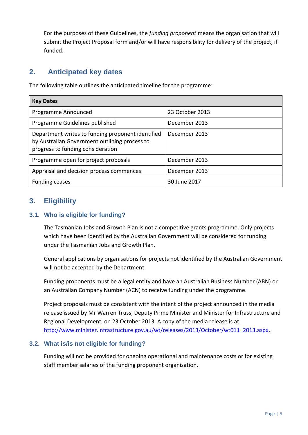For the purposes of these Guidelines, the *funding proponent* means the organisation that will submit the Project Proposal form and/or will have responsibility for delivery of the project, if funded.

## <span id="page-4-0"></span>**2. Anticipated key dates**

The following table outlines the anticipated timeline for the programme:

| <b>Key Dates</b>                                                                                                                        |                 |  |  |  |
|-----------------------------------------------------------------------------------------------------------------------------------------|-----------------|--|--|--|
| Programme Announced                                                                                                                     | 23 October 2013 |  |  |  |
| Programme Guidelines published                                                                                                          | December 2013   |  |  |  |
| Department writes to funding proponent identified<br>by Australian Government outlining process to<br>progress to funding consideration | December 2013   |  |  |  |
| Programme open for project proposals                                                                                                    | December 2013   |  |  |  |
| Appraisal and decision process commences                                                                                                | December 2013   |  |  |  |
| <b>Funding ceases</b>                                                                                                                   | 30 June 2017    |  |  |  |

## <span id="page-4-1"></span>**3. Eligibility**

## <span id="page-4-2"></span>**3.1. Who is eligible for funding?**

The Tasmanian Jobs and Growth Plan is not a competitive grants programme. Only projects which have been identified by the Australian Government will be considered for funding under the Tasmanian Jobs and Growth Plan.

General applications by organisations for projects not identified by the Australian Government will not be accepted by the Department.

Funding proponents must be a legal entity and have an Australian Business Number (ABN) or an Australian Company Number (ACN) to receive funding under the programme.

Project proposals must be consistent with the intent of the project announced in the media release issued by Mr Warren Truss, Deputy Prime Minister and Minister for Infrastructure and Regional Development, on 23 October 2013. A copy of the media release is at: [http://www.minister.infrastructure.gov.au/wt/releases/2013/October/wt011\\_2013.aspx.](http://www.minister.infrastructure.gov.au/wt/releases/2013/October/wt011_2013.aspx)

## <span id="page-4-3"></span>**3.2. What is/is not eligible for funding?**

Funding will not be provided for ongoing operational and maintenance costs or for existing staff member salaries of the funding proponent organisation.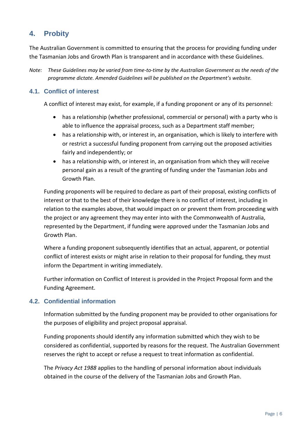## <span id="page-5-0"></span>**4. Probity**

The Australian Government is committed to ensuring that the process for providing funding under the Tasmanian Jobs and Growth Plan is transparent and in accordance with these Guidelines.

*Note: These Guidelines may be varied from time-to-time by the Australian Government as the needs of the programme dictate. Amended Guidelines will be published on the Department's website.*

## <span id="page-5-1"></span>**4.1. Conflict of interest**

A conflict of interest may exist, for example, if a funding proponent or any of its personnel:

- has a relationship (whether professional, commercial or personal) with a party who is able to influence the appraisal process, such as a Department staff member;
- has a relationship with, or interest in, an organisation, which is likely to interfere with or restrict a successful funding proponent from carrying out the proposed activities fairly and independently; or
- has a relationship with, or interest in, an organisation from which they will receive personal gain as a result of the granting of funding under the Tasmanian Jobs and Growth Plan.

Funding proponents will be required to declare as part of their proposal, existing conflicts of interest or that to the best of their knowledge there is no conflict of interest, including in relation to the examples above, that would impact on or prevent them from proceeding with the project or any agreement they may enter into with the Commonwealth of Australia, represented by the Department, if funding were approved under the Tasmanian Jobs and Growth Plan.

Where a funding proponent subsequently identifies that an actual, apparent, or potential conflict of interest exists or might arise in relation to their proposal for funding, they must inform the Department in writing immediately.

Further information on Conflict of Interest is provided in the Project Proposal form and the Funding Agreement.

## <span id="page-5-2"></span>**4.2. Confidential information**

Information submitted by the funding proponent may be provided to other organisations for the purposes of eligibility and project proposal appraisal.

Funding proponents should identify any information submitted which they wish to be considered as confidential, supported by reasons for the request. The Australian Government reserves the right to accept or refuse a request to treat information as confidential.

The *Privacy Act 1988* applies to the handling of personal information about individuals obtained in the course of the delivery of the Tasmanian Jobs and Growth Plan.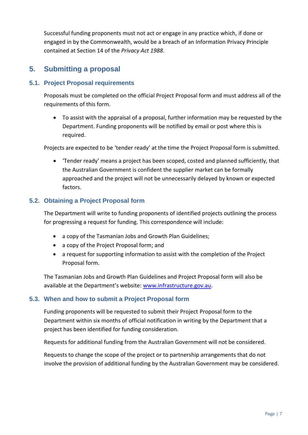Successful funding proponents must not act or engage in any practice which, if done or engaged in by the Commonwealth, would be a breach of an Information Privacy Principle contained at Section 14 of the *Privacy Act 1988*.

## <span id="page-6-0"></span>**5. Submitting a proposal**

## <span id="page-6-1"></span>**5.1. Project Proposal requirements**

Proposals must be completed on the official Project Proposal form and must address all of the requirements of this form.

 To assist with the appraisal of a proposal, further information may be requested by the Department. Funding proponents will be notified by email or post where this is required.

Projects are expected to be 'tender ready' at the time the Project Proposal form is submitted.

 'Tender ready' means a project has been scoped, costed and planned sufficiently, that the Australian Government is confident the supplier market can be formally approached and the project will not be unnecessarily delayed by known or expected factors.

## <span id="page-6-2"></span>**5.2. Obtaining a Project Proposal form**

The Department will write to funding proponents of identified projects outlining the process for progressing a request for funding. This correspondence will include:

- a copy of the Tasmanian Jobs and Growth Plan Guidelines;
- a copy of the Project Proposal form; and
- a request for supporting information to assist with the completion of the Project Proposal form.

The Tasmanian Jobs and Growth Plan Guidelines and Project Proposal form will also be available at the Department's website: [www.infrastructure.gov.au.](http://www.infrastructure.gov.au/)

## <span id="page-6-3"></span>**5.3. When and how to submit a Project Proposal form**

Funding proponents will be requested to submit their Project Proposal form to the Department within six months of official notification in writing by the Department that a project has been identified for funding consideration.

Requests for additional funding from the Australian Government will not be considered.

Requests to change the scope of the project or to partnership arrangements that do not involve the provision of additional funding by the Australian Government may be considered.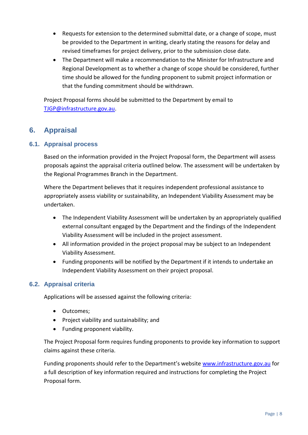- Requests for extension to the determined submittal date, or a change of scope, must be provided to the Department in writing, clearly stating the reasons for delay and revised timeframes for project delivery, prior to the submission close date.
- The Department will make a recommendation to the Minister for Infrastructure and Regional Development as to whether a change of scope should be considered, further time should be allowed for the funding proponent to submit project information or that the funding commitment should be withdrawn.

Project Proposal forms should be submitted to the Department by email to [TJGP@infrastructure.gov.au.](mailto:TJGP@infrastructure.gov.au)

## <span id="page-7-0"></span>**6. Appraisal**

## <span id="page-7-1"></span>**6.1. Appraisal process**

Based on the information provided in the Project Proposal form, the Department will assess proposals against the appraisal criteria outlined below. The assessment will be undertaken by the Regional Programmes Branch in the Department.

Where the Department believes that it requires independent professional assistance to appropriately assess viability or sustainability, an Independent Viability Assessment may be undertaken.

- The Independent Viability Assessment will be undertaken by an appropriately qualified external consultant engaged by the Department and the findings of the Independent Viability Assessment will be included in the project assessment.
- All information provided in the project proposal may be subject to an Independent Viability Assessment.
- Funding proponents will be notified by the Department if it intends to undertake an Independent Viability Assessment on their project proposal.

## <span id="page-7-2"></span>**6.2. Appraisal criteria**

Applications will be assessed against the following criteria:

- Outcomes;
- Project viability and sustainability; and
- Funding proponent viability.

The Project Proposal form requires funding proponents to provide key information to support claims against these criteria.

Funding proponents should refer to the Department's website [www.infrastructure.gov.au](http://www.infrastructure.gov.au/) for a full description of key information required and instructions for completing the Project Proposal form.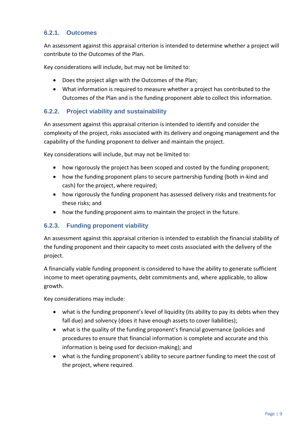## <span id="page-8-0"></span>**6.2.1. Outcomes**

An assessment against this appraisal criterion is intended to determine whether a project will contribute to the Outcomes of the Plan.

Key considerations will include, but may not be limited to:

- Does the project align with the Outcomes of the Plan;
- What information is required to measure whether a project has contributed to the Outcomes of the Plan and is the funding proponent able to collect this information.

## <span id="page-8-1"></span>**6.2.2. Project viability and sustainability**

An assessment against this appraisal criterion is intended to identify and consider the complexity of the project, risks associated with its delivery and ongoing management and the capability of the funding proponent to deliver and maintain the project.

Key considerations will include, but may not be limited to:

- how rigorously the project has been scoped and costed by the funding proponent;
- how the funding proponent plans to secure partnership funding (both in-kind and cash) for the project, where required;
- how rigorously the funding proponent has assessed delivery risks and treatments for these risks; and
- how the funding proponent aims to maintain the project in the future.

## <span id="page-8-2"></span>**6.2.3. Funding proponent viability**

An assessment against this appraisal criterion is intended to establish the financial stability of the funding proponent and their capacity to meet costs associated with the delivery of the project.

A financially viable funding proponent is considered to have the ability to generate sufficient income to meet operating payments, debt commitments and, where applicable, to allow growth.

Key considerations may include:

- what is the funding proponent's level of liquidity (its ability to pay its debts when they fall due) and solvency (does it have enough assets to cover liabilities);
- what is the quality of the funding proponent's financial governance (policies and procedures to ensure that financial information is complete and accurate and this information is being used for decision-making); and
- what is the funding proponent's ability to secure partner funding to meet the cost of the project, where required.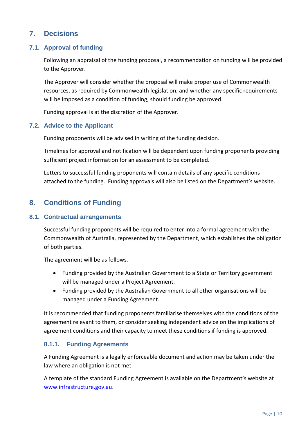## <span id="page-9-0"></span>**7. Decisions**

## <span id="page-9-1"></span>**7.1. Approval of funding**

Following an appraisal of the funding proposal, a recommendation on funding will be provided to the Approver.

The Approver will consider whether the proposal will make proper use of Commonwealth resources, as required by Commonwealth legislation, and whether any specific requirements will be imposed as a condition of funding, should funding be approved.

Funding approval is at the discretion of the Approver.

## <span id="page-9-2"></span>**7.2. Advice to the Applicant**

Funding proponents will be advised in writing of the funding decision.

Timelines for approval and notification will be dependent upon funding proponents providing sufficient project information for an assessment to be completed.

Letters to successful funding proponents will contain details of any specific conditions attached to the funding. Funding approvals will also be listed on the Department's website.

## <span id="page-9-3"></span>**8. Conditions of Funding**

#### <span id="page-9-4"></span>**8.1. Contractual arrangements**

Successful funding proponents will be required to enter into a formal agreement with the Commonwealth of Australia, represented by the Department, which establishes the obligation of both parties.

The agreement will be as follows.

- Funding provided by the Australian Government to a State or Territory government will be managed under a Project Agreement.
- Funding provided by the Australian Government to all other organisations will be managed under a Funding Agreement.

It is recommended that funding proponents familiarise themselves with the conditions of the agreement relevant to them, or consider seeking independent advice on the implications of agreement conditions and their capacity to meet these conditions if funding is approved.

## <span id="page-9-5"></span>**8.1.1. Funding Agreements**

A Funding Agreement is a legally enforceable document and action may be taken under the law where an obligation is not met.

A template of the standard Funding Agreement is available on the Department's website at [www.infrastructure.gov.au.](http://www.infrastructure.gov.au/)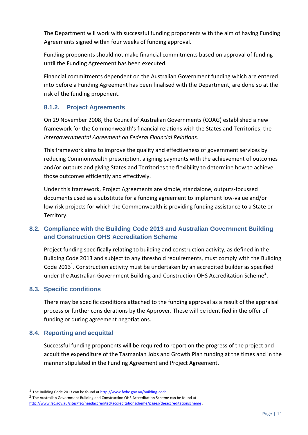The Department will work with successful funding proponents with the aim of having Funding Agreements signed within four weeks of funding approval.

Funding proponents should not make financial commitments based on approval of funding until the Funding Agreement has been executed.

Financial commitments dependent on the Australian Government funding which are entered into before a Funding Agreement has been finalised with the Department, are done so at the risk of the funding proponent.

## <span id="page-10-0"></span>**8.1.2. Project Agreements**

On 29 November 2008, the Council of Australian Governments (COAG) established a new framework for the Commonwealth's financial relations with the States and Territories, the *[Intergovernmental Agreement on Federal Financial Relations](http://www.federalfinancialrelations.gov.au/content/intergovernmental_agreements.aspx)*.

This framework aims to improve the quality and effectiveness of government services by reducing Commonwealth prescription, aligning payments with the achievement of outcomes and/or outputs and giving States and Territories the flexibility to determine how to achieve those outcomes efficiently and effectively.

Under this framework, Project Agreements are simple, standalone, outputs-focussed documents used as a substitute for a funding agreement to implement low-value and/or low-risk projects for which the Commonwealth is providing funding assistance to a State or Territory.

## <span id="page-10-1"></span>**8.2. Compliance with the Building Code 2013 and Australian Government Building and Construction OHS Accreditation Scheme**

Project funding specifically relating to building and construction activity, as defined in the Building Code 2013 and subject to any threshold requirements, must comply with the Building Code 2013<sup>1</sup>. Construction activity must be undertaken by an accredited builder as specified under the Australian Government Building and Construction OHS Accreditation Scheme<sup>2</sup>.

## <span id="page-10-2"></span>**8.3. Specific conditions**

There may be specific conditions attached to the funding approval as a result of the appraisal process or further considerations by the Approver. These will be identified in the offer of funding or during agreement negotiations.

## <span id="page-10-3"></span>**8.4. Reporting and acquittal**

-

Successful funding proponents will be required to report on the progress of the project and acquit the expenditure of the Tasmanian Jobs and Growth Plan funding at the times and in the manner stipulated in the Funding Agreement and Project Agreement.

<sup>1</sup> The Building Code 2013 can be found a[t http://www.fwbc.gov.au/building-code.](http://www.fwbc.gov.au/building-code)

<sup>2</sup> The Australian Government Building and Construction OHS Accreditation Scheme can be found at

<http://www.fsc.gov.au/sites/fsc/needaccredited/accreditationscheme/pages/theaccreditationscheme> .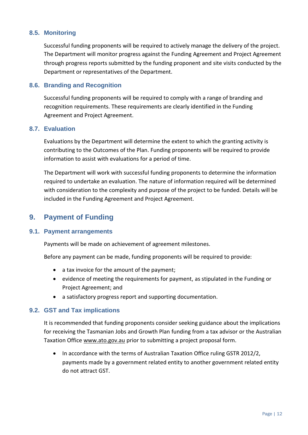## <span id="page-11-0"></span>**8.5. Monitoring**

Successful funding proponents will be required to actively manage the delivery of the project. The Department will monitor progress against the Funding Agreement and Project Agreement through progress reports submitted by the funding proponent and site visits conducted by the Department or representatives of the Department.

#### <span id="page-11-1"></span>**8.6. Branding and Recognition**

Successful funding proponents will be required to comply with a range of branding and recognition requirements. These requirements are clearly identified in the Funding Agreement and Project Agreement.

#### <span id="page-11-2"></span>**8.7. Evaluation**

Evaluations by the Department will determine the extent to which the granting activity is contributing to the Outcomes of the Plan. Funding proponents will be required to provide information to assist with evaluations for a period of time.

The Department will work with successful funding proponents to determine the information required to undertake an evaluation. The nature of information required will be determined with consideration to the complexity and purpose of the project to be funded. Details will be included in the Funding Agreement and Project Agreement.

## <span id="page-11-3"></span>**9. Payment of Funding**

## <span id="page-11-4"></span>**9.1. Payment arrangements**

Payments will be made on achievement of agreement milestones.

Before any payment can be made, funding proponents will be required to provide:

- a tax invoice for the amount of the payment;
- evidence of meeting the requirements for payment, as stipulated in the Funding or Project Agreement; and
- a satisfactory progress report and supporting documentation.

#### <span id="page-11-5"></span>**9.2. GST and Tax implications**

It is recommended that funding proponents consider seeking guidance about the implications for receiving the Tasmanian Jobs and Growth Plan funding from a tax advisor or the Australian Taxation Office [www.ato.gov.au](http://www.ato.gov.au/) prior to submitting a project proposal form.

<span id="page-11-6"></span> In accordance with the terms of Australian Taxation Office ruling GSTR 2012/2, payments made by a government related entity to another government related entity do not attract GST.